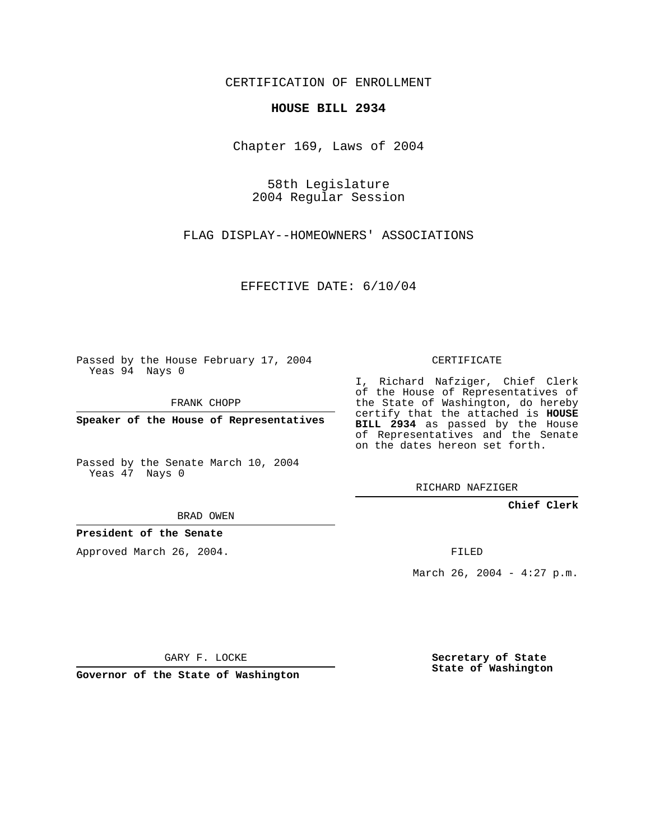CERTIFICATION OF ENROLLMENT

## **HOUSE BILL 2934**

Chapter 169, Laws of 2004

58th Legislature 2004 Regular Session

FLAG DISPLAY--HOMEOWNERS' ASSOCIATIONS

EFFECTIVE DATE: 6/10/04

Passed by the House February 17, 2004 Yeas 94 Nays 0

FRANK CHOPP

**Speaker of the House of Representatives**

Passed by the Senate March 10, 2004 Yeas 47 Nays 0

BRAD OWEN

**President of the Senate**

Approved March 26, 2004.

CERTIFICATE

I, Richard Nafziger, Chief Clerk of the House of Representatives of the State of Washington, do hereby certify that the attached is **HOUSE BILL 2934** as passed by the House of Representatives and the Senate on the dates hereon set forth.

RICHARD NAFZIGER

**Chief Clerk**

FILED

March 26, 2004 -  $4:27$  p.m.

GARY F. LOCKE

**Governor of the State of Washington**

**Secretary of State State of Washington**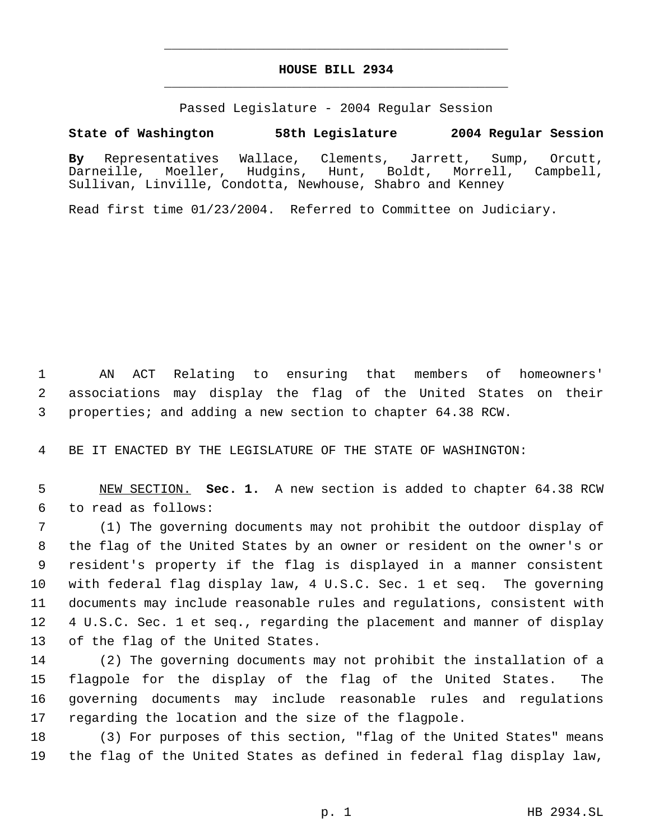## **HOUSE BILL 2934** \_\_\_\_\_\_\_\_\_\_\_\_\_\_\_\_\_\_\_\_\_\_\_\_\_\_\_\_\_\_\_\_\_\_\_\_\_\_\_\_\_\_\_\_\_

\_\_\_\_\_\_\_\_\_\_\_\_\_\_\_\_\_\_\_\_\_\_\_\_\_\_\_\_\_\_\_\_\_\_\_\_\_\_\_\_\_\_\_\_\_

Passed Legislature - 2004 Regular Session

## **State of Washington 58th Legislature 2004 Regular Session**

**By** Representatives Wallace, Clements, Jarrett, Sump, Orcutt, Darneille, Moeller, Hudgins, Hunt, Boldt, Morrell, Campbell, Sullivan, Linville, Condotta, Newhouse, Shabro and Kenney

Read first time 01/23/2004. Referred to Committee on Judiciary.

 AN ACT Relating to ensuring that members of homeowners' associations may display the flag of the United States on their properties; and adding a new section to chapter 64.38 RCW.

BE IT ENACTED BY THE LEGISLATURE OF THE STATE OF WASHINGTON:

 NEW SECTION. **Sec. 1.** A new section is added to chapter 64.38 RCW to read as follows:

 (1) The governing documents may not prohibit the outdoor display of the flag of the United States by an owner or resident on the owner's or resident's property if the flag is displayed in a manner consistent with federal flag display law, 4 U.S.C. Sec. 1 et seq. The governing documents may include reasonable rules and regulations, consistent with 4 U.S.C. Sec. 1 et seq., regarding the placement and manner of display of the flag of the United States.

 (2) The governing documents may not prohibit the installation of a flagpole for the display of the flag of the United States. The governing documents may include reasonable rules and regulations regarding the location and the size of the flagpole.

 (3) For purposes of this section, "flag of the United States" means the flag of the United States as defined in federal flag display law,